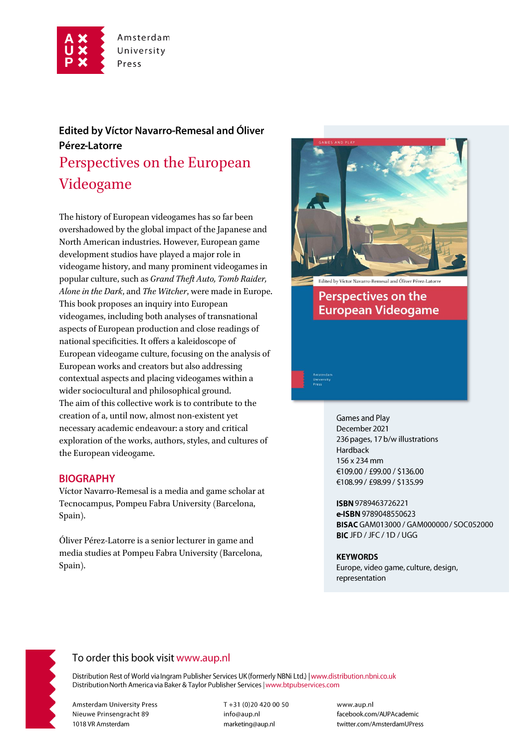

# **Edited by Víctor Navarro-Remesal and Óliver** Pérez-Latorre Perspectives on the European Videogame

The history of European videogames has so far been overshadowed by the global impact of the Japanese and North American industries. However, European game development studios have played a major role in videogame history, and many prominent videogames in popular culture, such as *Grand Theft Auto, Tomb Raider, Alone in the Dark*, and *The Witcher*, were made in Europe. This book proposes an inquiry into European videogames, including both analyses of transnational aspects of European production and close readings of national specificities. It offers a kaleidoscope of European videogame culture, focusing on the analysis of European works and creators but also addressing contextual aspects and placing videogames within a wider sociocultural and philosophical ground. The aim of this collective work is to contribute to the creation of a, until now, almost non-existent yet necessary academic endeavour: a story and critical exploration of the works, authors, styles, and cultures of the European videogame.

## **BIOGRAPHY**

Víctor Navarro-Remesal is a media and game scholar at Tecnocampus, Pompeu Fabra University (Barcelona, Spain).

Óliver Pérez-Latorre is a senior lecturer in game and media studies at Pompeu Fabra University (Barcelona, Spain).



**Games and Play** December 2021 236 pages, 17 b/w illustrations Hardback 156 x 234 mm €109.00 / £99.00 / \$136.00 €108.99 / £98.99 / \$135.99

ISBN 9789463726221 e-ISBN 9789048550623 BISAC GAM013000 / GAM000000 / SOC052000 BICJFD / JFC / 1D / UGG

#### **KEYWORDS**

Europe, video game, culture, design, representation



## To order this book visit www.aup.nl

Distribution Rest of World via Ingram Publisher Services UK (formerly NBNi Ltd.) | www.distribution.nbni.co.uk Distribution North America via Baker & Taylor Publisher Services | www.btpubservices.com

**Amsterdam University Press** Nieuwe Prinsengracht 89 1018 VR Amsterdam

T+31 (0)20 420 00 50 info@aup.nl marketing@aup.nl

www.aup.nl facebook.com/AUPAcademic twitter.com/AmsterdamUPress